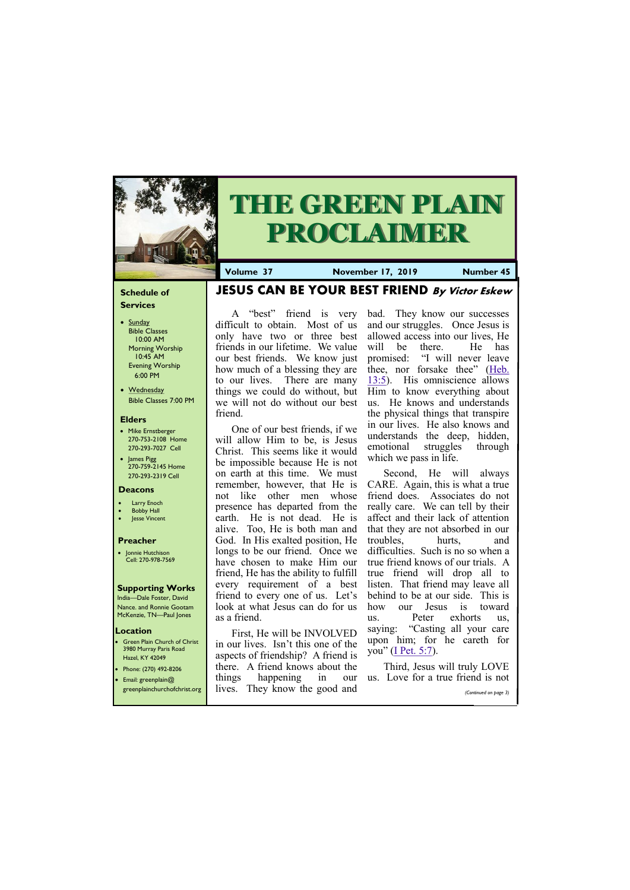#### **Schedule of Services**

- Sunday Bible Classes 10:00 AM Morning Worship 10:45 AM Evening Worship 6:00 PM
- Wednesday Bible Classes 7:00 PM

#### **Elders**

**Green Plain Church of Christ** 3980 Murray Paris Road Hazel, KY 42049 • Phone: (270) 492-8206

- Mike Ernstberger 270-753-2108 Home 270-293-7027 Cell
- James Pigg 270-759-2145 Home 270-293-2319 Cell



## **THE GREEN PLAIN PROCLAIMER**

#### **Location**

A "best" friend is very difficult to obtain. Most of us only have two or three best friends in our lifetime. We value our best friends. We know just how much of a blessing they are to our lives. There are many things we could do without, but we will not do without our best bad. They know our successes and our struggles. Once Jesus is allowed access into our lives, He will be there. He has

**Volume 37 November 17, 2019 Number 45**

#### **Deacons**

- **Larry Enoch**
- **Bobby Hall**
- **Jesse Vincent**

#### **Preacher**

• Jonnie Hutchison Cell: 270-978-7569

#### **Supporting Works**

India—Dale Foster, David Nance. and Ronnie Gootam McKenzie, TN—Paul Jones

**JESUS CAN BE YOUR BEST FRIEND By Victor Eskew**

friend.

One of our best friends, if we will allow Him to be, is Jesus Christ. This seems like it would be impossible because He is not on earth at this time. We must remember, however, that He is not like other men whose presence has departed from the earth. He is not dead. He is alive. Too, He is both man and God. In His exalted position, He longs to be our friend. Once we have chosen to make Him our friend, He has the ability to fulfill every requirement of a best friend to every one of us. Let's look at what Jesus can do for us as a friend.

| <b>•</b> Email: greenplain@                                | things | happening | 1n |  | our us. Love for a true friend is not |
|------------------------------------------------------------|--------|-----------|----|--|---------------------------------------|
| greenplainchurchofchrist.org lives. They know the good and |        |           |    |  | (Continued on page 3)                 |

First, He will be INVOLVED in our lives. Isn't this one of the aspects of friendship? A friend is there. A friend knows about the

promised: "I will never leave thee, nor forsake thee" ([Heb.](https://biblia.com/bible/kjv1900/Heb.%2013.5)  [13:5\).](https://biblia.com/bible/kjv1900/Heb.%2013.5) His omniscience allows Him to know everything about us. He knows and understands the physical things that transpire in our lives. He also knows and understands the deep, hidden, emotional struggles through which we pass in life. Second, He will always CARE. Again, this is what a true friend does. Associates do not really care. We can tell by their affect and their lack of attention

that they are not absorbed in our troubles, hurts, and difficulties. Such is no so when a true friend knows of our trials. A true friend will drop all to listen. That friend may leave all behind to be at our side. This is how our Jesus is toward us. Peter exhorts us, saying: "Casting all your care upon him; for he careth for you" ([I Pet. 5:7\)](https://biblia.com/bible/kjv1900/1%20Pet.%205.7).

Third, Jesus will truly LOVE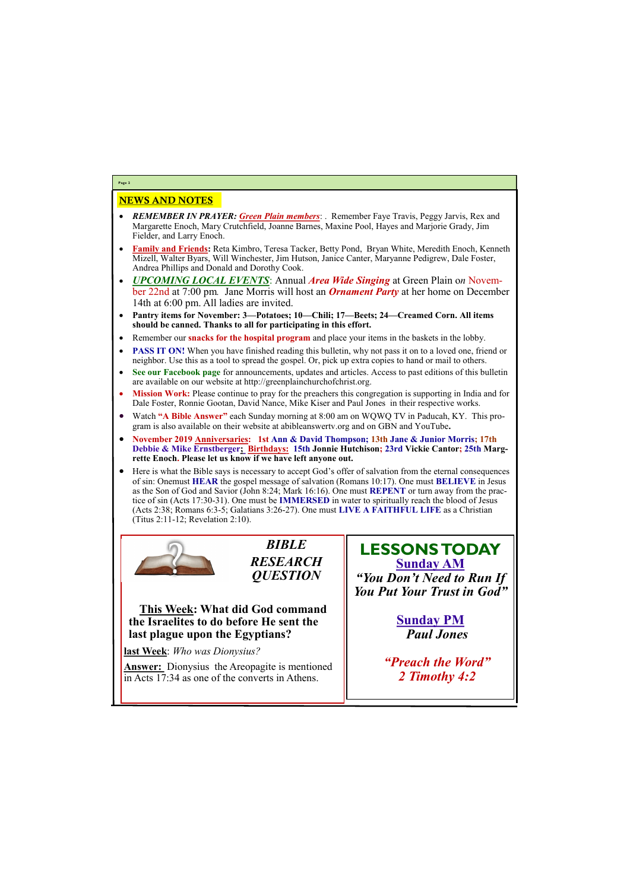### NEWS AND NOTES

- *REMEMBER IN PRAYER: Green Plain members*: . Remember Faye Travis, Peggy Jarvis, Rex and Margarette Enoch, Mary Crutchfield, Joanne Barnes, Maxine Pool, Hayes and Marjorie Grady, Jim Fielder, and Larry Enoch.
- **Family and Friends:** Reta Kimbro, Teresa Tacker, Betty Pond, Bryan White, Meredith Enoch, Kenneth Mizell, Walter Byars, Will Winchester, Jim Hutson, Janice Canter, Maryanne Pedigrew, Dale Foster, Andrea Phillips and Donald and Dorothy Cook.
- *UPCOMING LOCAL EVENTS*: Annual *Area Wide Singing* at Green Plain o*n* November 22nd at 7:00 pm*.* Jane Morris will host an *Ornament Party* at her home on December 14th at 6:00 pm. All ladies are invited.
- **Pantry items for November: 3—Potatoes; 10—Chili; 17—Beets; 24—Creamed Corn. All items should be canned. Thanks to all for participating in this effort.**
- Remember our **snacks for the hospital program** and place your items in the baskets in the lobby.
- **PASS IT ON!** When you have finished reading this bulletin, why not pass it on to a loved one, friend or neighbor. Use this as a tool to spread the gospel. Or, pick up extra copies to hand or mail to others.
- **See our Facebook page** for announcements, updates and articles. Access to past editions of this bulletin are available on our website at http://greenplainchurchofchrist.org.
- **Mission Work:** Please continue to pray for the preachers this congregation is supporting in India and for Dale Foster, Ronnie Gootan, David Nance, Mike Kiser and Paul Jones in their respective works.
- Watch **"A Bible Answer"** each Sunday morning at 8:00 am on WQWQ TV in Paducah, KY. This program is also available on their website at abibleanswertv.org and on GBN and YouTube**.**
- **November 2019 Anniversaries: 1st Ann & David Thompson; 13th Jane & Junior Morris; 17th Debbie & Mike Ernstberger; Birthdays: 15th Jonnie Hutchison; 23rd Vickie Cantor; 25th Margrette Enoch. Please let us know if we have left anyone out.**
- Here is what the Bible says is necessary to accept God's offer of salvation from the eternal consequences of sin: Onemust **HEAR** the gospel message of salvation (Romans 10:17). One must **BELIEVE** in Jesus as the Son of God and Savior (John 8:24; Mark 16:16). One must **REPENT** or turn away from the practice of sin (Acts 17:30-31). One must be **IMMERSED** in water to spiritually reach the blood of Jesus (Acts 2:38; Romans 6:3-5; Galatians 3:26-27). One must **LIVE A FAITHFUL LIFE** as a Christian (Titus 2:11-12; Revelation 2:10).



**Page 2**

*BIBLE RESEARCH QUESTION*

**This Week: What did God command the Israelites to do before He sent the last plague upon the Egyptians?**

**last Week**: *Who was Dionysius?*

**Answer:** Dionysius the Areopagite is mentioned

in Acts 17:34 as one of the converts in Athens.

**LESSONS TODAY Sunday AM** *"You Don't Need to Run If You Put Your Trust in God"*

> **Sunday PM** *Paul Jones*

*"Preach the Word"*

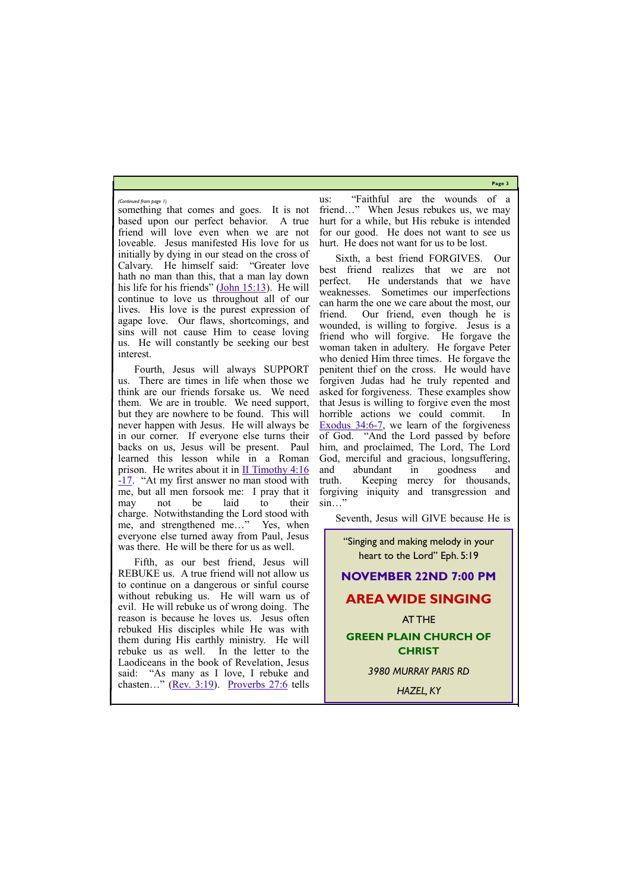**Page 3**

something that comes and goes. It is not based upon our perfect behavior. A true friend will love even when we are not loveable. Jesus manifested His love for us initially by dying in our stead on the cross of Calvary. He himself said: "Greater love hath no man than this, that a man lay down his life for his friends" ([John 15:13\).](https://biblia.com/bible/kjv1900/John%2015.13) He will continue to love us throughout all of our lives. His love is the purest expression of agape love. Our flaws, shortcomings, and sins will not cause Him to cease loving us. He will constantly be seeking our best interest.

Fourth, Jesus will always SUPPORT us. There are times in life when those we think are our friends forsake us. We need them. We are in trouble. We need support, but they are nowhere to be found. This will never happen with Jesus. He will always be in our corner. If everyone else turns their backs on us, Jesus will be present. Paul learned this lesson while in a Roman prison. He writes about it in [II Timothy 4:16](https://biblia.com/bible/kjv1900/2%20Tim%204.16-17) -[17](https://biblia.com/bible/kjv1900/2%20Tim%204.16-17). "At my first answer no man stood with me, but all men forsook me: I pray that it may not be laid to their charge. Notwithstanding the Lord stood with me, and strengthened me…" Yes, when everyone else turned away from Paul, Jesus was there. He will be there for us as well.

Fifth, as our best friend, Jesus will REBUKE us. A true friend will not allow us to continue on a dangerous or sinful course without rebuking us. He will warn us of evil. He will rebuke us of wrong doing. The reason is because he loves us. Jesus often rebuked His disciples while He was with them during His earthly ministry. He will rebuke us as well. In the letter to the Laodiceans in the book of Revelation, Jesus

us: "Faithful are the wounds of a friend…" When Jesus rebukes us, we may hurt for a while, but His rebuke is intended for our good. He does not want to see us hurt. He does not want for us to be lost.

| said:<br>"As many as I love, I rebuke and   | 3980 MURRAY PARIS RD |
|---------------------------------------------|----------------------|
| chasten" (Rev. 3:19). Proverbs $27:6$ tells | <b>HAZEL, KY</b>     |

Sixth, a best friend FORGIVES. Our best friend realizes that we are not perfect. He understands that we have weaknesses. Sometimes our imperfections can harm the one we care about the most, our friend. Our friend, even though he is wounded, is willing to forgive. Jesus is a friend who will forgive. He forgave the woman taken in adultery. He forgave Peter who denied Him three times. He forgave the penitent thief on the cross. He would have forgiven Judas had he truly repented and asked for forgiveness. These examples show that Jesus is willing to forgive even the most horrible actions we could commit. In [Exodus 34:6](https://biblia.com/bible/kjv1900/Exod%2034.6-7)-7, we learn of the forgiveness of God. "And the Lord passed by before him, and proclaimed, The Lord, The Lord God, merciful and gracious, longsuffering, and abundant in goodness and truth. Keeping mercy for thousands, forgiving iniquity and transgression and sin…"

Seventh, Jesus will GIVE because He is

*(Continued from page 1)*

"Singing and making melody in your heart to the Lord" Eph. 5:19 **NOVEMBER 22ND 7:00 PM AREA WIDE SINGING** AT THE **GREEN PLAIN CHURCH OF CHRIST** *3980 MURRAY PARIS RD*